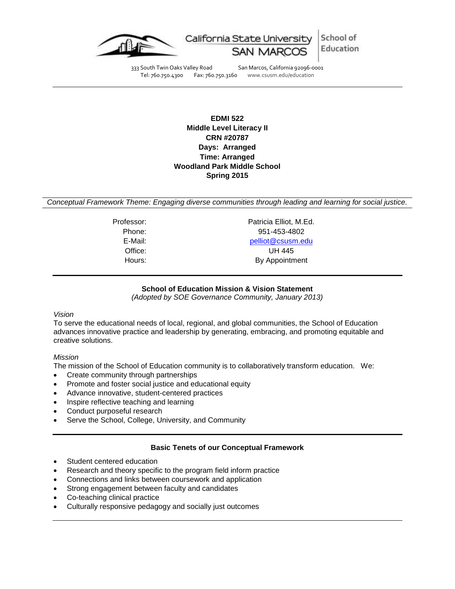

School of Education

333 South Twin Oaks Valley Road San Marcos, California 92096-0001<br>Tel: 760.750.4300 Fax: 760.750.3160 www.csusm.edu/education

www.csusm.edu/education

**EDMI 522 Middle Level Literacy II CRN #20787 Days: Arranged Time: Arranged Woodland Park Middle School Spring 2015**

*Conceptual Framework Theme: Engaging diverse communities through leading and learning for social justice.*

Professor: Professor: Patricia Elliot, M.Ed. Phone: 951-453-4802 E-Mail: [pelliot@csusm.edu](mailto:pelliot@csusm.edu) Office: UH 445 Hours: By Appointment

# **School of Education Mission & Vision Statement**

*(Adopted by SOE Governance Community, January 2013)*

# *Vision*

To serve the educational needs of local, regional, and global communities, the School of Education advances innovative practice and leadership by generating, embracing, and promoting equitable and creative solutions.

# *Mission*

The mission of the School of Education community is to collaboratively transform education. We:

- Create community through partnerships
- Promote and foster social justice and educational equity
- Advance innovative, student-centered practices
- Inspire reflective teaching and learning
- Conduct purposeful research
- Serve the School, College, University, and Community

# **Basic Tenets of our Conceptual Framework**

- Student centered education
- Research and theory specific to the program field inform practice
- Connections and links between coursework and application
- Strong engagement between faculty and candidates
- Co-teaching clinical practice
- Culturally responsive pedagogy and socially just outcomes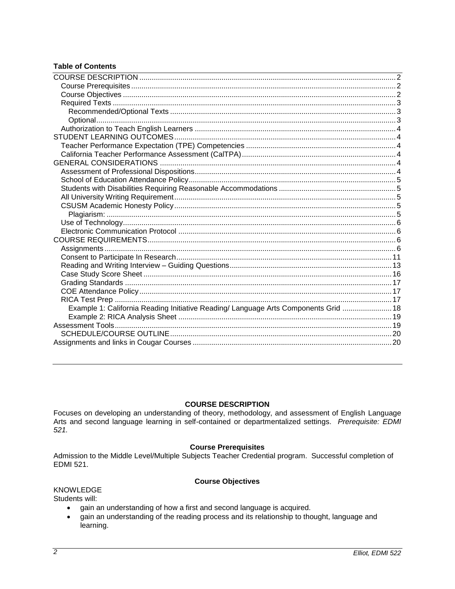# **Table of Contents**

| Example 1: California Reading Initiative Reading/ Language Arts Components Grid  18 |  |
|-------------------------------------------------------------------------------------|--|
|                                                                                     |  |
|                                                                                     |  |
|                                                                                     |  |
|                                                                                     |  |
|                                                                                     |  |

## **COURSE DESCRIPTION**

<span id="page-1-0"></span>Focuses on developing an understanding of theory, methodology, and assessment of English Language Arts and second language learning in self-contained or departmentalized settings. Prerequisite: EDMI  $521.$ 

# **Course Prerequisites**

<span id="page-1-1"></span>Admission to the Middle Level/Multiple Subjects Teacher Credential program. Successful completion of **EDMI 521.** 

# **Course Objectives**

#### <span id="page-1-2"></span>**KNOWLEDGE**

Students will:

- gain an understanding of how a first and second language is acquired.  $\bullet$
- gain an understanding of the reading process and its relationship to thought, language and  $\bullet$ learning.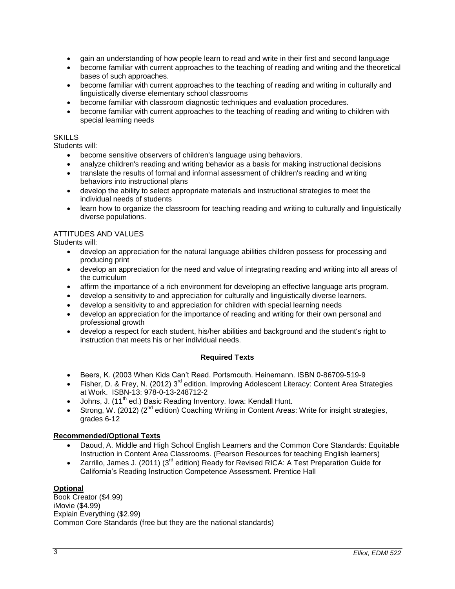- gain an understanding of how people learn to read and write in their first and second language
- become familiar with current approaches to the teaching of reading and writing and the theoretical bases of such approaches.
- become familiar with current approaches to the teaching of reading and writing in culturally and linguistically diverse elementary school classrooms
- become familiar with classroom diagnostic techniques and evaluation procedures.
- become familiar with current approaches to the teaching of reading and writing to children with special learning needs

## **SKILLS**

Students will:

- become sensitive observers of children's language using behaviors.
- analyze children's reading and writing behavior as a basis for making instructional decisions
- translate the results of formal and informal assessment of children's reading and writing behaviors into instructional plans
- develop the ability to select appropriate materials and instructional strategies to meet the individual needs of students
- learn how to organize the classroom for teaching reading and writing to culturally and linguistically diverse populations.

#### ATTITUDES AND VALUES

Students will:

- develop an appreciation for the natural language abilities children possess for processing and producing print
- develop an appreciation for the need and value of integrating reading and writing into all areas of the curriculum
- affirm the importance of a rich environment for developing an effective language arts program.
- develop a sensitivity to and appreciation for culturally and linguistically diverse learners.
- develop a sensitivity to and appreciation for children with special learning needs
- develop an appreciation for the importance of reading and writing for their own personal and professional growth
- develop a respect for each student, his/her abilities and background and the student's right to instruction that meets his or her individual needs.

# **Required Texts**

- <span id="page-2-0"></span>Beers, K. (2003 When Kids Can't Read. Portsmouth. Heinemann. ISBN 0-86709-519-9
- Fisher, D. & Frey, N. (2012)  $3^{rd}$  edition. Improving Adolescent Literacy: Content Area Strategies at Work. ISBN-13: 978-0-13-248712-2
- $\bullet$  Johns, J. (11<sup>th</sup> ed.) Basic Reading Inventory. Iowa: Kendall Hunt.
- Strong, W. (2012) (2<sup>nd</sup> edition) Coaching Writing in Content Areas: Write for insight strategies, grades 6-12

#### <span id="page-2-1"></span>**Recommended/Optional Texts**

- Daoud, A. Middle and High School English Learners and the Common Core Standards: Equitable Instruction in Content Area Classrooms. (Pearson Resources for teaching English learners)
- Zarrillo, James J. (2011) (3<sup>rd</sup> edition) Ready for Revised RICA: A Test Preparation Guide for California's Reading Instruction Competence Assessment. Prentice Hall

## <span id="page-2-2"></span>**Optional**

Book Creator (\$4.99) iMovie (\$4.99) Explain Everything (\$2.99) Common Core Standards (free but they are the national standards)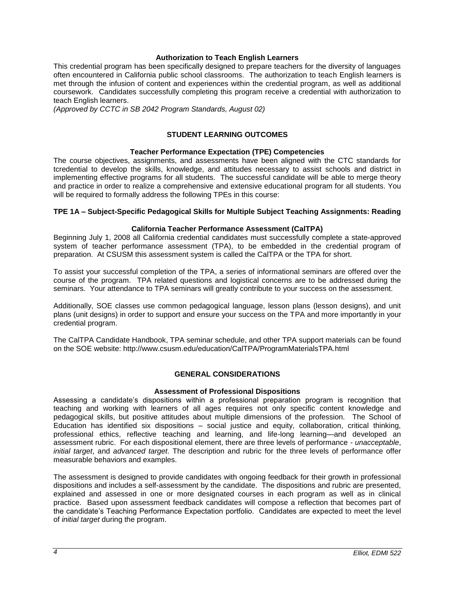### **Authorization to Teach English Learners**

<span id="page-3-0"></span>This credential program has been specifically designed to prepare teachers for the diversity of languages often encountered in California public school classrooms. The authorization to teach English learners is met through the infusion of content and experiences within the credential program, as well as additional coursework. Candidates successfully completing this program receive a credential with authorization to teach English learners.

<span id="page-3-1"></span>*(Approved by CCTC in SB 2042 Program Standards, August 02)*

## **STUDENT LEARNING OUTCOMES**

## **Teacher Performance Expectation (TPE) Competencies**

<span id="page-3-2"></span>The course objectives, assignments, and assessments have been aligned with the CTC standards for tcredential to develop the skills, knowledge, and attitudes necessary to assist schools and district in implementing effective programs for all students. The successful candidate will be able to merge theory and practice in order to realize a comprehensive and extensive educational program for all students. You will be required to formally address the following TPEs in this course:

#### **TPE 1A – Subject-Specific Pedagogical Skills for Multiple Subject Teaching Assignments: Reading**

#### **California Teacher Performance Assessment (CalTPA)**

<span id="page-3-3"></span>Beginning July 1, 2008 all California credential candidates must successfully complete a state-approved system of teacher performance assessment (TPA), to be embedded in the credential program of preparation. At CSUSM this assessment system is called the CalTPA or the TPA for short.

To assist your successful completion of the TPA, a series of informational seminars are offered over the course of the program. TPA related questions and logistical concerns are to be addressed during the seminars. Your attendance to TPA seminars will greatly contribute to your success on the assessment.

Additionally, SOE classes use common pedagogical language, lesson plans (lesson designs), and unit plans (unit designs) in order to support and ensure your success on the TPA and more importantly in your credential program.

The CalTPA Candidate Handbook, TPA seminar schedule, and other TPA support materials can be found on the SOE website: http://www.csusm.edu/education/CalTPA/ProgramMaterialsTPA.html

#### **GENERAL CONSIDERATIONS**

#### **Assessment of Professional Dispositions**

<span id="page-3-5"></span><span id="page-3-4"></span>Assessing a candidate's dispositions within a professional preparation program is recognition that teaching and working with learners of all ages requires not only specific content knowledge and pedagogical skills, but positive attitudes about multiple dimensions of the profession. The School of Education has identified six dispositions – social justice and equity, collaboration, critical thinking, professional ethics, reflective teaching and learning, and life-long learning—and developed an assessment rubric. For each dispositional element, there are three levels of performance - *unacceptable*, *initial target*, and *advanced target*. The description and rubric for the three levels of performance offer measurable behaviors and examples.

The assessment is designed to provide candidates with ongoing feedback for their growth in professional dispositions and includes a self-assessment by the candidate. The dispositions and rubric are presented, explained and assessed in one or more designated courses in each program as well as in clinical practice. Based upon assessment feedback candidates will compose a reflection that becomes part of the candidate's Teaching Performance Expectation portfolio. Candidates are expected to meet the level of *initial target* during the program.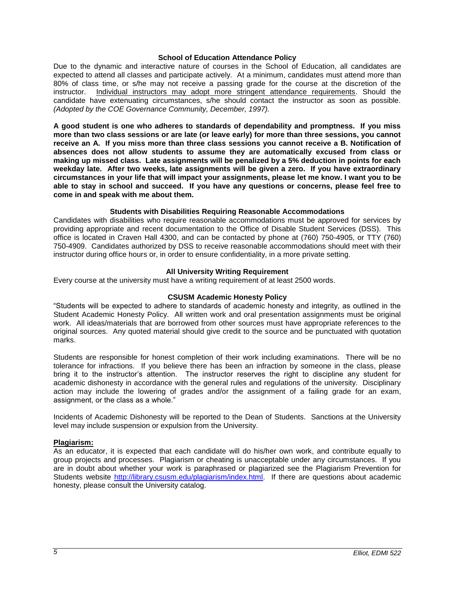#### **School of Education Attendance Policy**

<span id="page-4-0"></span>Due to the dynamic and interactive nature of courses in the School of Education, all candidates are expected to attend all classes and participate actively. At a minimum, candidates must attend more than 80% of class time, or s/he may not receive a passing grade for the course at the discretion of the instructor. Individual instructors may adopt more stringent attendance requirements. Should the candidate have extenuating circumstances, s/he should contact the instructor as soon as possible. *(Adopted by the COE Governance Community, December, 1997).*

**A good student is one who adheres to standards of dependability and promptness. If you miss more than two class sessions or are late (or leave early) for more than three sessions, you cannot receive an A. If you miss more than three class sessions you cannot receive a B. Notification of absences does not allow students to assume they are automatically excused from class or making up missed class. Late assignments will be penalized by a 5% deduction in points for each weekday late. After two weeks, late assignments will be given a zero. If you have extraordinary circumstances in your life that will impact your assignments, please let me know. I want you to be able to stay in school and succeed. If you have any questions or concerns, please feel free to come in and speak with me about them.**

#### **Students with Disabilities Requiring Reasonable Accommodations**

<span id="page-4-1"></span>Candidates with disabilities who require reasonable accommodations must be approved for services by providing appropriate and recent documentation to the Office of Disable Student Services (DSS). This office is located in Craven Hall 4300, and can be contacted by phone at (760) 750-4905, or TTY (760) 750-4909. Candidates authorized by DSS to receive reasonable accommodations should meet with their instructor during office hours or, in order to ensure confidentiality, in a more private setting.

#### **All University Writing Requirement**

<span id="page-4-2"></span>Every course at the university must have a writing requirement of at least 2500 words.

#### **CSUSM Academic Honesty Policy**

<span id="page-4-3"></span>"Students will be expected to adhere to standards of academic honesty and integrity, as outlined in the Student Academic Honesty Policy. All written work and oral presentation assignments must be original work. All ideas/materials that are borrowed from other sources must have appropriate references to the original sources. Any quoted material should give credit to the source and be punctuated with quotation marks.

Students are responsible for honest completion of their work including examinations. There will be no tolerance for infractions. If you believe there has been an infraction by someone in the class, please bring it to the instructor's attention. The instructor reserves the right to discipline any student for academic dishonesty in accordance with the general rules and regulations of the university. Disciplinary action may include the lowering of grades and/or the assignment of a failing grade for an exam, assignment, or the class as a whole."

Incidents of Academic Dishonesty will be reported to the Dean of Students. Sanctions at the University level may include suspension or expulsion from the University.

## <span id="page-4-4"></span>**Plagiarism:**

As an educator, it is expected that each candidate will do his/her own work, and contribute equally to group projects and processes. Plagiarism or cheating is unacceptable under any circumstances. If you are in doubt about whether your work is paraphrased or plagiarized see the Plagiarism Prevention for Students website [http://library.csusm.edu/plagiarism/index.html.](http://library.csusm.edu/plagiarism/index.html) If there are questions about academic honesty, please consult the University catalog.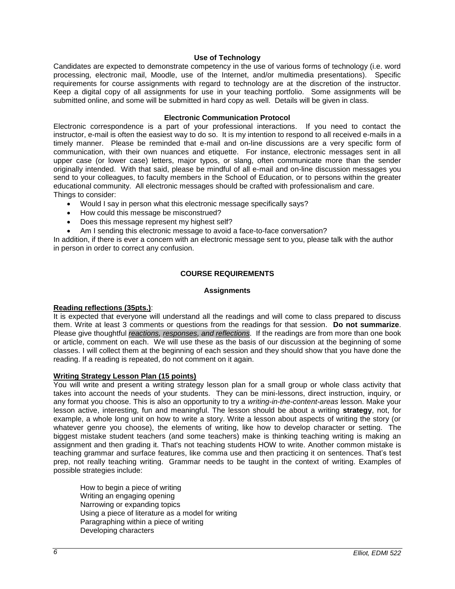### **Use of Technology**

<span id="page-5-0"></span>Candidates are expected to demonstrate competency in the use of various forms of technology (i.e. word processing, electronic mail, Moodle, use of the Internet, and/or multimedia presentations). Specific requirements for course assignments with regard to technology are at the discretion of the instructor. Keep a digital copy of all assignments for use in your teaching portfolio. Some assignments will be submitted online, and some will be submitted in hard copy as well. Details will be given in class.

#### **Electronic Communication Protocol**

<span id="page-5-1"></span>Electronic correspondence is a part of your professional interactions. If you need to contact the instructor, e-mail is often the easiest way to do so. It is my intention to respond to all received e-mails in a timely manner. Please be reminded that e-mail and on-line discussions are a very specific form of communication, with their own nuances and etiquette. For instance, electronic messages sent in all upper case (or lower case) letters, major typos, or slang, often communicate more than the sender originally intended. With that said, please be mindful of all e-mail and on-line discussion messages you send to your colleagues, to faculty members in the School of Education, or to persons within the greater educational community. All electronic messages should be crafted with professionalism and care. Things to consider:

- Would I say in person what this electronic message specifically says?
- How could this message be misconstrued?
- Does this message represent my highest self?
- Am I sending this electronic message to avoid a face-to-face conversation?

In addition, if there is ever a concern with an electronic message sent to you, please talk with the author in person in order to correct any confusion.

#### **COURSE REQUIREMENTS**

#### **Assignments**

#### <span id="page-5-3"></span><span id="page-5-2"></span>**Reading reflections (35pts.)**:

It is expected that everyone will understand all the readings and will come to class prepared to discuss them. Write at least 3 comments or questions from the readings for that session. **Do not summarize**. Please give thoughtful *reactions, responses, and reflections*. If the readings are from more than one book or article, comment on each. We will use these as the basis of our discussion at the beginning of some classes. I will collect them at the beginning of each session and they should show that you have done the reading. If a reading is repeated, do not comment on it again.

#### **Writing Strategy Lesson Plan (15 points)**

You will write and present a writing strategy lesson plan for a small group or whole class activity that takes into account the needs of your students. They can be mini-lessons, direct instruction, inquiry, or any format you choose. This is also an opportunity to try a *writing-in-the-content-areas* lesson. Make your lesson active, interesting, fun and meaningful. The lesson should be about a writing **strategy**, not, for example, a whole long unit on how to write a story. Write a lesson about aspects of writing the story (or whatever genre you choose), the elements of writing, like how to develop character or setting. The biggest mistake student teachers (and some teachers) make is thinking teaching writing is making an assignment and then grading it. That's not teaching students HOW to write. Another common mistake is teaching grammar and surface features, like comma use and then practicing it on sentences. That's test prep, not really teaching writing. Grammar needs to be taught in the context of writing. Examples of possible strategies include:

How to begin a piece of writing Writing an engaging opening Narrowing or expanding topics Using a piece of literature as a model for writing Paragraphing within a piece of writing Developing characters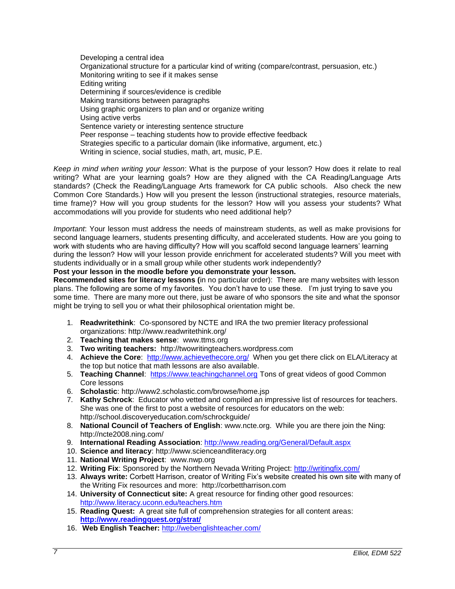Developing a central idea Organizational structure for a particular kind of writing (compare/contrast, persuasion, etc.) Monitoring writing to see if it makes sense Editing writing Determining if sources/evidence is credible Making transitions between paragraphs Using graphic organizers to plan and or organize writing Using active verbs Sentence variety or interesting sentence structure Peer response – teaching students how to provide effective feedback Strategies specific to a particular domain (like informative, argument, etc.) Writing in science, social studies, math, art, music, P.E.

*Keep in mind when writing your lesson*: What is the purpose of your lesson? How does it relate to real writing? What are your learning goals? How are they aligned with the CA Reading/Language Arts standards? (Check the Reading/Language Arts framework for CA public schools. Also check the new Common Core Standards.) How will you present the lesson (instructional strategies, resource materials, time frame)? How will you group students for the lesson? How will you assess your students? What accommodations will you provide for students who need additional help?

*Important*: Your lesson must address the needs of mainstream students, as well as make provisions for second language learners, students presenting difficulty, and accelerated students. How are you going to work with students who are having difficulty? How will you scaffold second language learners' learning during the lesson? How will your lesson provide enrichment for accelerated students? Will you meet with students individually or in a small group while other students work independently?

## **Post your lesson in the moodle before you demonstrate your lesson.**

**Recommended sites for literacy lessons (**in no particular order): There are many websites with lesson plans. The following are some of my favorites. You don't have to use these. I'm just trying to save you some time. There are many more out there, just be aware of who sponsors the site and what the sponsor might be trying to sell you or what their philosophical orientation might be.

- 1. **Readwritethink**: Co-sponsored by NCTE and IRA the two premier literacy professional organizations: http://www.readwritethink.org/
- 2. **Teaching that makes sense**: www.ttms.org
- 3. **Two writing teachers:** http://twowritingteachers.wordpress.com
- 4. **Achieve the Core**: <http://www.achievethecore.org/>When you get there click on ELA/Literacy at the top but notice that math lessons are also available.
- 5. **Teaching Channel**: [https://www.teachingchannel.org](https://www.teachingchannel.org/) Tons of great videos of good Common Core lessons
- 6. **Scholastic**: http://www2.scholastic.com/browse/home.jsp
- 7. **Kathy Schrock**: Educator who vetted and compiled an impressive list of resources for teachers. She was one of the first to post a website of resources for educators on the web: http://school.discoveryeducation.com/schrockguide/
- 8. **National Council of Teachers of English**: www.ncte.org. While you are there join the Ning: http://ncte2008.ning.com/
- 9. **International Reading Association**:<http://www.reading.org/General/Default.aspx>
- 10. **Science and literacy**: http://www.scienceandliteracy.org
- 11. **National Writing Project**: www.nwp.org
- 12. **Writing Fix**: Sponsored by the Northern Nevada Writing Project:<http://writingfix.com/>
- 13. **Always write:** Corbett Harrison, creator of Writing Fix's website created his own site with many of the Writing Fix resources and more: http://corbettharrison.com
- 14. **University of Connecticut site:** A great resource for finding other good resources: <http://www.literacy.uconn.edu/teachers.htm>
- 15. **Reading Quest:** A great site full of comprehension strategies for all content areas: **<http://www.readingquest.org/strat/>**
- 16. **Web English Teacher:** <http://webenglishteacher.com/>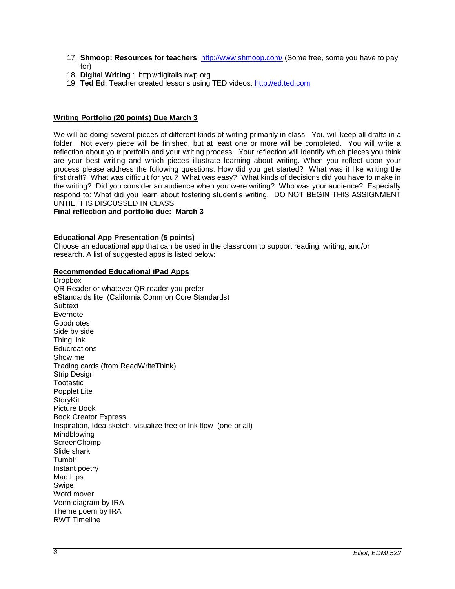- 17. **Shmoop: Resources for teachers**:<http://www.shmoop.com/> (Some free, some you have to pay for)
- 18. **Digital Writing** : http://digitalis.nwp.org
- 19. **Ted Ed**: Teacher created lessons using TED videos: [http://ed.ted.com](http://ed.ted.com/)

### **Writing Portfolio (20 points) Due March 3**

We will be doing several pieces of different kinds of writing primarily in class. You will keep all drafts in a folder. Not every piece will be finished, but at least one or more will be completed. You will write a reflection about your portfolio and your writing process. Your reflection will identify which pieces you think are your best writing and which pieces illustrate learning about writing. When you reflect upon your process please address the following questions: How did you get started? What was it like writing the first draft? What was difficult for you? What was easy? What kinds of decisions did you have to make in the writing? Did you consider an audience when you were writing? Who was your audience? Especially respond to: What did you learn about fostering student's writing. DO NOT BEGIN THIS ASSIGNMENT UNTIL IT IS DISCUSSED IN CLASS!

**Final reflection and portfolio due: March 3**

## **Educational App Presentation (5 points)**

Choose an educational app that can be used in the classroom to support reading, writing, and/or research. A list of suggested apps is listed below:

#### **Recommended Educational iPad Apps**

**Dropbox** QR Reader or whatever QR reader you prefer eStandards lite (California Common Core Standards) **Subtext** Evernote Goodnotes Side by side Thing link **Educreations** Show me Trading cards (from ReadWriteThink) Strip Design **Tootastic** Popplet Lite StoryKit Picture Book Book Creator Express Inspiration, Idea sketch, visualize free or Ink flow (one or all) Mindblowing **ScreenChomp** Slide shark Tumblr Instant poetry Mad Lips Swipe Word mover Venn diagram by IRA Theme poem by IRA RWT Timeline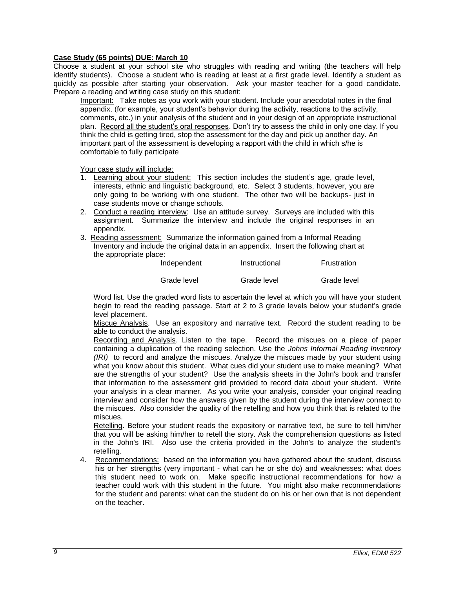## **Case Study (65 points) DUE: March 10**

Choose a student at your school site who struggles with reading and writing (the teachers will help identify students). Choose a student who is reading at least at a first grade level. Identify a student as quickly as possible after starting your observation. Ask your master teacher for a good candidate. Prepare a reading and writing case study on this student:

Important: Take notes as you work with your student. Include your anecdotal notes in the final appendix. (for example, your student's behavior during the activity, reactions to the activity, comments, etc.) in your analysis of the student and in your design of an appropriate instructional plan. Record all the student's oral responses. Don't try to assess the child in only one day. If you think the child is getting tired, stop the assessment for the day and pick up another day. An important part of the assessment is developing a rapport with the child in which s/he is comfortable to fully participate

Your case study will include:

- 1. Learning about your student: This section includes the student's age, grade level, interests, ethnic and linguistic background, etc. Select 3 students, however, you are only going to be working with one student. The other two will be backups- just in case students move or change schools.
- 2. Conduct a reading interview: Use an attitude survey. Surveys are included with this assignment. Summarize the interview and include the original responses in an appendix.
- 3. Reading assessment: Summarize the information gained from a Informal Reading Inventory and include the original data in an appendix. Insert the following chart at the appropriate place:

| Independent | Instructional | Frustration |
|-------------|---------------|-------------|
| Grade level | Grade level   | Grade level |

Word list. Use the graded word lists to ascertain the level at which you will have your student begin to read the reading passage. Start at 2 to 3 grade levels below your student's grade level placement.

Miscue Analysis. Use an expository and narrative text. Record the student reading to be able to conduct the analysis.

Recording and Analysis. Listen to the tape. Record the miscues on a piece of paper containing a duplication of the reading selection. Use the *Johns Informal Reading Inventory (IRI)* to record and analyze the miscues. Analyze the miscues made by your student using what you know about this student. What cues did your student use to make meaning? What are the strengths of your student? Use the analysis sheets in the John's book and transfer that information to the assessment grid provided to record data about your student. Write your analysis in a clear manner. As you write your analysis, consider your original reading interview and consider how the answers given by the student during the interview connect to the miscues. Also consider the quality of the retelling and how you think that is related to the miscues.

Retelling. Before your student reads the expository or narrative text, be sure to tell him/her that you will be asking him/her to retell the story. Ask the comprehension questions as listed in the John's IRI. Also use the criteria provided in the John's to analyze the student's retelling.

4. Recommendations: based on the information you have gathered about the student, discuss his or her strengths (very important - what can he or she do) and weaknesses: what does this student need to work on. Make specific instructional recommendations for how a teacher could work with this student in the future. You might also make recommendations for the student and parents: what can the student do on his or her own that is not dependent on the teacher.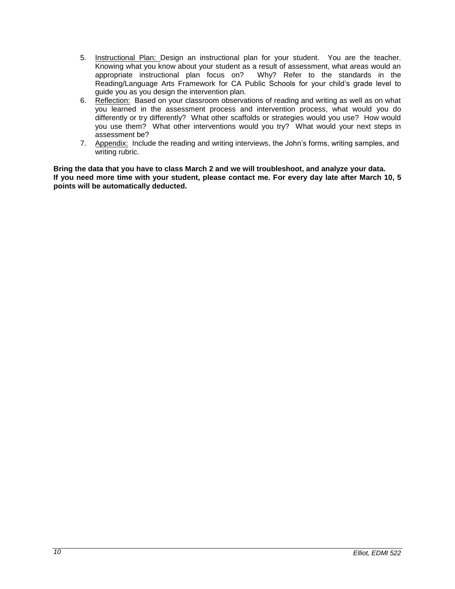- 5. Instructional Plan: Design an instructional plan for your student. You are the teacher. Knowing what you know about your student as a result of assessment, what areas would an appropriate instructional plan focus on? Why? Refer to the standards in the appropriate instructional plan focus on? Reading/Language Arts Framework for CA Public Schools for your child's grade level to guide you as you design the intervention plan.
- 6. Reflection: Based on your classroom observations of reading and writing as well as on what you learned in the assessment process and intervention process, what would you do differently or try differently? What other scaffolds or strategies would you use? How would you use them? What other interventions would you try? What would your next steps in assessment be?
- 7. Appendix: Include the reading and writing interviews, the John's forms, writing samples, and writing rubric.

**Bring the data that you have to class March 2 and we will troubleshoot, and analyze your data. If you need more time with your student, please contact me. For every day late after March 10, 5 points will be automatically deducted.**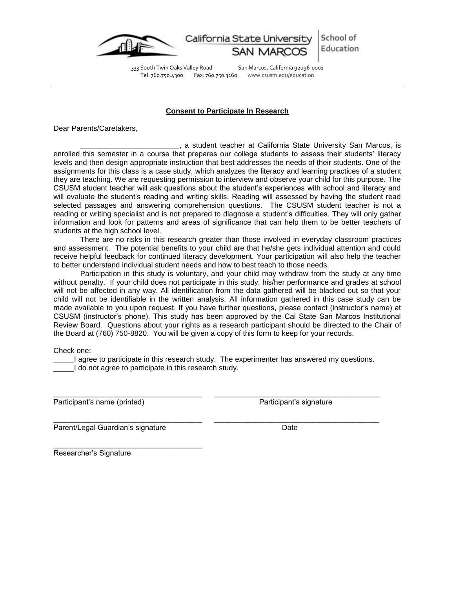

School of California State Universit Education

333 South Twin Oaks Valley Road San Marcos, California 92096-0001 Tel: 760.750.4300 Fax: 760.750.3160 www.csusm.edu/education

#### **Consent to Participate In Research**

<span id="page-10-0"></span>Dear Parents/Caretakers,

\_\_\_\_\_\_\_\_\_\_\_\_\_\_\_\_\_\_\_\_\_\_\_\_, a student teacher at California State University San Marcos, is enrolled this semester in a course that prepares our college students to assess their students' literacy levels and then design appropriate instruction that best addresses the needs of their students. One of the assignments for this class is a case study, which analyzes the literacy and learning practices of a student they are teaching. We are requesting permission to interview and observe your child for this purpose. The CSUSM student teacher will ask questions about the student's experiences with school and literacy and will evaluate the student's reading and writing skills. Reading will assessed by having the student read selected passages and answering comprehension questions. The CSUSM student teacher is not a reading or writing specialist and is not prepared to diagnose a student's difficulties. They will only gather information and look for patterns and areas of significance that can help them to be better teachers of students at the high school level.

There are no risks in this research greater than those involved in everyday classroom practices and assessment. The potential benefits to your child are that he/she gets individual attention and could receive helpful feedback for continued literacy development. Your participation will also help the teacher to better understand individual student needs and how to best teach to those needs.

Participation in this study is voluntary, and your child may withdraw from the study at any time without penalty. If your child does not participate in this study, his/her performance and grades at school will not be affected in any way. All identification from the data gathered will be blacked out so that your child will not be identifiable in the written analysis. All information gathered in this case study can be made available to you upon request. If you have further questions, please contact (instructor's name) at CSUSM (instructor's phone). This study has been approved by the Cal State San Marcos Institutional Review Board. Questions about your rights as a research participant should be directed to the Chair of the Board at (760) 750-8820. You will be given a copy of this form to keep for your records.

Check one:

\_\_\_\_\_I agree to participate in this research study. The experimenter has answered my questions. \_\_\_\_\_I do not agree to participate in this research study.

\_\_\_\_\_\_\_\_\_\_\_\_\_\_\_\_\_\_\_\_\_\_\_\_\_\_\_\_\_\_\_\_\_\_\_\_ \_\_\_\_\_\_\_\_\_\_\_\_\_\_\_\_\_\_\_\_\_\_\_\_\_\_\_\_\_\_\_\_\_\_\_\_\_\_\_\_

\_\_\_\_\_\_\_\_\_\_\_\_\_\_\_\_\_\_\_\_\_\_\_\_\_\_\_\_\_\_\_\_\_\_\_\_ \_\_\_\_\_\_\_\_\_\_\_\_\_\_\_\_\_\_\_\_\_\_\_\_\_\_\_\_\_\_\_\_\_\_\_\_\_\_\_\_

Participant's name (printed) Participant's signature

Parent/Legal Guardian's signature Date Date

\_\_\_\_\_\_\_\_\_\_\_\_\_\_\_\_\_\_\_\_\_\_\_\_\_\_\_\_\_\_\_\_\_\_\_\_

Researcher's Signature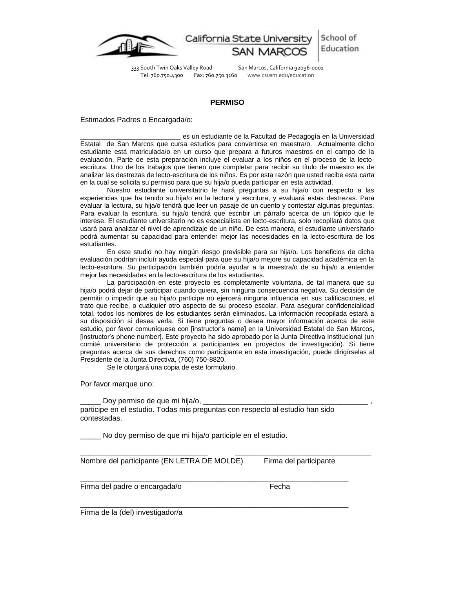

School of California State Universit Education

333 South Twin Oaks Valley Road San Marcos, California 92096-0001<br>Tel: 760.750.4300 Fax: 760.750.3160 www.csusm.edu/education

www.csusm.edu/education

#### **PERMISO**

Estimados Padres o Encargada/o:

es un estudiante de la Facultad de Pedagogía en la Universidad Estatal de San Marcos que cursa estudios para convertirse en maestra/o. Actualmente dicho estudiante está matriculada/o en un curso que prepara a futuros maestros en el campo de la evaluación. Parte de esta preparación incluye el evaluar a los niños en el proceso de la lectoescritura. Uno de los trabajos que tienen que completar para recibir su título de maestro es de analizar las destrezas de lecto-escritura de los niños. Es por esta razón que usted recibe esta carta en la cual se solicita su permiso para que su hija/o pueda participar en esta actividad.

Nuestro estudiante universitatrio le hará preguntas a su hija/o con respecto a las experiencias que ha tenido su hija/o en la lectura y escritura, y evaluará estas destrezas. Para evaluar la lectura, su hija/o tendrá que leer un pasaje de un cuento y contestar algunas preguntas. Para evaluar la escritura, su hija/o tendrá que escribir un párrafo acerca de un tópico que le interese. El estudiante universitario no es especialista en lecto-escritura, solo recopilará datos que usará para analizar el nivel de aprendizaje de un niño. De esta manera, el estudiante universitario podrá aumentar su capacidad para entender mejor las necesidades en la lecto-escritura de los estudiantes.

En este studio no hay ningún riesgo previsible para su hija/o. Los beneficios de dicha evaluación podrían incluír ayuda especial para que su hija/o mejore su capacidad académica en la lecto-escritura. Su participación también podría ayudar a la maestra/o de su hija/o a entender mejor las necesidades en la lecto-escritura de los estudiantes.

La participación en este proyecto es completamente voluntaria, de tal manera que su hija/o podrá dejar de participar cuando quiera, sin ninguna consecuencia negativa. Su decisión de permitir o impedir que su hija/o participe no ejercerá ninguna influencia en sus calificaciones, el trato que recibe, o cualquier otro aspecto de su proceso escolar. Para asegurar confidencialidad total, todos los nombres de los estudiantes serán eliminados. La información recopilada estará a su disposición si desea verla. Si tiene preguntas o desea mayor información acerca de este estudio, por favor comuníquese con [instructor's name] en la Universidad Estatal de San Marcos, [instructor's phone number]. Este proyecto ha sido aprobado por la Junta Directiva Institucional (un comité universitario de protección a participantes en proyectos de investigación). Si tiene preguntas acerca de sus derechos como participante en esta investigación, puede dirigírselas al Presidente de la Junta Directiva, (760) 750-8820.

Se le otorgará una copia de este formulario.

Por favor marque uno:

Doy permiso de que mi hija/o, \_ participe en el estudio. Todas mis preguntas con respecto al estudio han sido contestadas.

\_\_\_\_\_\_\_\_\_\_\_\_\_\_\_\_\_\_\_\_\_\_\_\_\_\_\_\_\_\_\_ \_\_\_\_\_\_\_\_\_\_\_\_\_\_\_\_\_\_\_\_\_\_\_\_\_\_\_\_\_\_\_\_\_

\_\_\_\_\_\_\_\_\_\_\_\_\_\_\_\_\_\_\_\_\_\_\_\_\_\_\_\_\_\_\_\_\_\_\_\_\_\_\_\_\_\_\_\_\_\_\_\_\_\_\_\_\_\_\_\_\_\_\_\_\_\_\_\_\_

\_\_\_\_\_\_\_\_\_\_\_\_\_\_\_\_\_\_\_\_\_\_\_\_\_\_\_\_\_\_\_\_\_\_\_\_\_\_\_\_\_\_\_\_\_\_\_\_\_\_\_\_\_\_\_\_\_\_\_\_\_\_\_\_\_

No doy permiso de que mi hija/o participle en el estudio.

Nombre del participante (EN LETRA DE MOLDE) Firma del participante

Firma del padre o encargada/o Fecha

Firma de la (del) investigador/a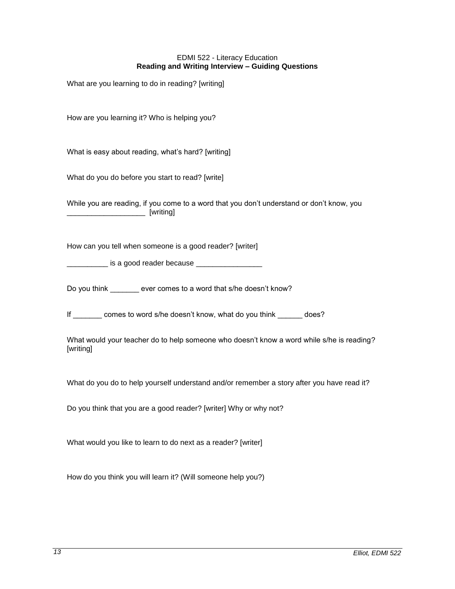### EDMI 522 - Literacy Education **Reading and Writing Interview – Guiding Questions**

<span id="page-12-0"></span>What are you learning to do in reading? [writing]

How are you learning it? Who is helping you?

What is easy about reading, what's hard? [writing]

What do you do before you start to read? [write]

While you are reading, if you come to a word that you don't understand or don't know, you \_\_\_\_\_\_\_\_\_\_\_\_\_\_\_\_\_\_\_ [writing]

How can you tell when someone is a good reader? [writer]

is a good reader because

Do you think ever comes to a word that s/he doesn't know?

If comes to word s/he doesn't know, what do you think does?

What would your teacher do to help someone who doesn't know a word while s/he is reading? [writing]

What do you do to help yourself understand and/or remember a story after you have read it?

Do you think that you are a good reader? [writer] Why or why not?

What would you like to learn to do next as a reader? [writer]

How do you think you will learn it? (Will someone help you?)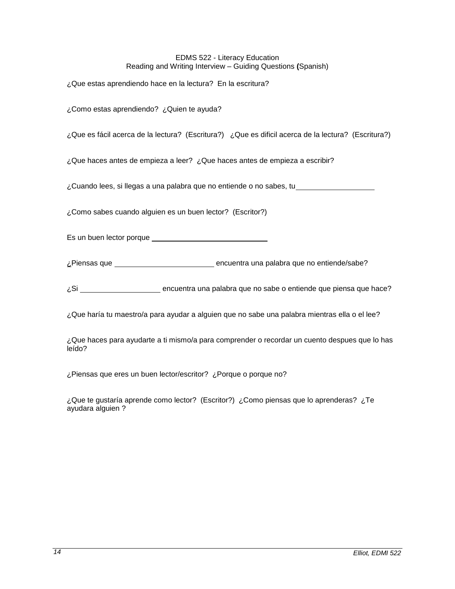## EDMS 522 - Literacy Education Reading and Writing Interview – Guiding Questions **(**Spanish)

¿Que estas aprendiendo hace en la lectura? En la escritura?

¿Como estas aprendiendo? ¿Quien te ayuda?

¿Que es fácil acerca de la lectura? (Escritura?) ¿Que es dificil acerca de la lectura? (Escritura?)

¿Que haces antes de empieza a leer? ¿Que haces antes de empieza a escribir?

¿Cuando lees, si llegas a una palabra que no entiende o no sabes, tu

¿Como sabes cuando alguien es un buen lector? (Escritor?)

Es un buen lector porque

¿Piensas que encuentra una palabra que no entiende/sabe?

¿Si encuentra una palabra que no sabe o entiende que piensa que hace?

¿Que haría tu maestro/a para ayudar a alguien que no sabe una palabra mientras ella o el lee?

¿Que haces para ayudarte a ti mismo/a para comprender o recordar un cuento despues que lo has leído?

¿Piensas que eres un buen lector/escritor? ¿Porque o porque no?

¿Que te gustaría aprende como lector? (Escritor?) ¿Como piensas que lo aprenderas? ¿Te ayudara alguien ?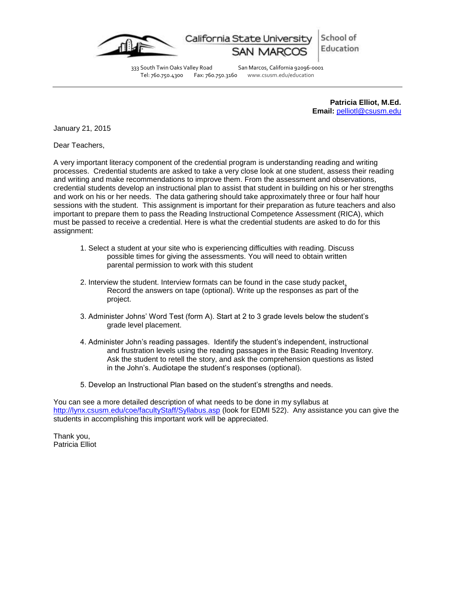

School of California State Universit Education

333 South Twin Oaks Valley Road San Marcos, California 92096-0001<br>Tel: 760.750.4300 Fax: 760.750.3160 www.csusm.edu/education www.csusm.edu/education

> **Patricia Elliot, M.Ed. Email:** [pelliotl@csusm.edu](mailto:pelliotl@csusm.edu)

January 21, 2015

Dear Teachers,

A very important literacy component of the credential program is understanding reading and writing processes. Credential students are asked to take a very close look at one student, assess their reading and writing and make recommendations to improve them. From the assessment and observations, credential students develop an instructional plan to assist that student in building on his or her strengths and work on his or her needs. The data gathering should take approximately three or four half hour sessions with the student. This assignment is important for their preparation as future teachers and also important to prepare them to pass the Reading Instructional Competence Assessment (RICA), which must be passed to receive a credential. Here is what the credential students are asked to do for this assignment:

- 1. Select a student at your site who is experiencing difficulties with reading. Discuss possible times for giving the assessments. You will need to obtain written parental permission to work with this student
- 2. Interview the student. Interview formats can be found in the case study packet. Record the answers on tape (optional). Write up the responses as part of the project.
- 3. Administer Johns' Word Test (form A). Start at 2 to 3 grade levels below the student's grade level placement.
- 4. Administer John's reading passages. Identify the student's independent, instructional and frustration levels using the reading passages in the Basic Reading Inventory. Ask the student to retell the story, and ask the comprehension questions as listed in the John's. Audiotape the student's responses (optional).
- 5. Develop an Instructional Plan based on the student's strengths and needs.

You can see a more detailed description of what needs to be done in my syllabus at <http://lynx.csusm.edu/coe/facultyStaff/Syllabus.asp> (look for EDMI 522). Any assistance you can give the students in accomplishing this important work will be appreciated.

Thank you, Patricia Elliot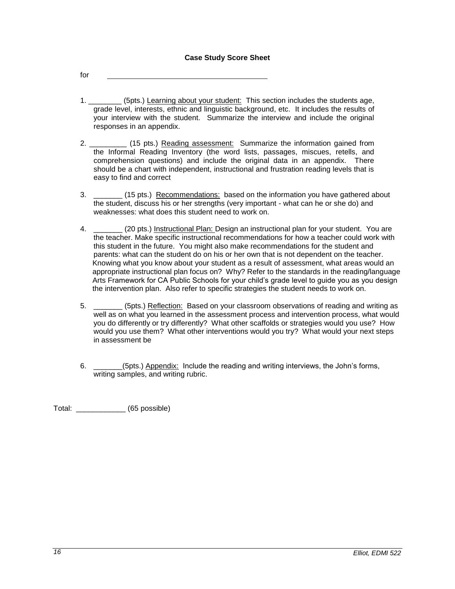<span id="page-15-0"></span>for

- 1. \_\_\_\_\_\_\_\_ (5pts.) Learning about your student: This section includes the students age, grade level, interests, ethnic and linguistic background, etc. It includes the results of your interview with the student. Summarize the interview and include the original responses in an appendix.
- 2. \_\_\_\_\_\_\_\_\_ (15 pts.) Reading assessment: Summarize the information gained from the Informal Reading Inventory (the word lists, passages, miscues, retells, and comprehension questions) and include the original data in an appendix. There should be a chart with independent, instructional and frustration reading levels that is easy to find and correct
- 3. \_\_\_\_\_\_\_ (15 pts.) Recommendations: based on the information you have gathered about the student, discuss his or her strengths (very important - what can he or she do) and weaknesses: what does this student need to work on.
- 4. \_\_\_\_\_\_\_ (20 pts.) Instructional Plan: Design an instructional plan for your student. You are the teacher. Make specific instructional recommendations for how a teacher could work with this student in the future. You might also make recommendations for the student and parents: what can the student do on his or her own that is not dependent on the teacher. Knowing what you know about your student as a result of assessment, what areas would an appropriate instructional plan focus on? Why? Refer to the standards in the reading/language Arts Framework for CA Public Schools for your child's grade level to guide you as you design the intervention plan. Also refer to specific strategies the student needs to work on.
- 5. \_\_\_\_\_\_\_ (5pts.) Reflection: Based on your classroom observations of reading and writing as well as on what you learned in the assessment process and intervention process, what would you do differently or try differently? What other scaffolds or strategies would you use? How would you use them? What other interventions would you try? What would your next steps in assessment be
- 6. \_\_\_\_\_\_\_(5pts.) Appendix: Include the reading and writing interviews, the John's forms, writing samples, and writing rubric.

Total: \_\_\_\_\_\_\_\_\_\_\_\_ (65 possible)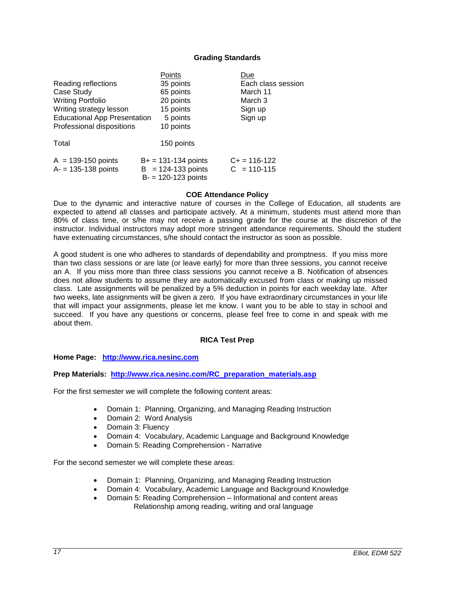### **Grading Standards**

<span id="page-16-0"></span>

|                                                | Points                                                                    | Due                                |
|------------------------------------------------|---------------------------------------------------------------------------|------------------------------------|
| Reading reflections                            | 35 points                                                                 | Each class session                 |
| Case Study                                     | 65 points                                                                 | March 11                           |
| <b>Writing Portfolio</b>                       | 20 points                                                                 | March 3                            |
| Writing strategy lesson                        | 15 points                                                                 | Sign up                            |
| <b>Educational App Presentation</b>            | 5 points                                                                  | Sign up                            |
| Professional dispositions                      | 10 points                                                                 |                                    |
| Total                                          | 150 points                                                                |                                    |
| $A = 139-150$ points<br>$A = 135 - 138$ points | $B+ = 131 - 134$ points<br>$B = 124-133$ points<br>$B = 120 - 123$ points | $C_{+}$ = 116-122<br>$C = 110-115$ |
|                                                |                                                                           |                                    |

#### **COE Attendance Policy**

<span id="page-16-1"></span>Due to the dynamic and interactive nature of courses in the College of Education, all students are expected to attend all classes and participate actively. At a minimum, students must attend more than 80% of class time, or s/he may not receive a passing grade for the course at the discretion of the instructor. Individual instructors may adopt more stringent attendance requirements. Should the student have extenuating circumstances, s/he should contact the instructor as soon as possible.

A good student is one who adheres to standards of dependability and promptness. If you miss more than two class sessions or are late (or leave early) for more than three sessions, you cannot receive an A. If you miss more than three class sessions you cannot receive a B. Notification of absences does not allow students to assume they are automatically excused from class or making up missed class. Late assignments will be penalized by a 5% deduction in points for each weekday late. After two weeks, late assignments will be given a zero. If you have extraordinary circumstances in your life that will impact your assignments, please let me know. I want you to be able to stay in school and succeed. If you have any questions or concerns, please feel free to come in and speak with me about them.

#### **RICA Test Prep**

#### <span id="page-16-2"></span>**Home Page: [http://www.rica.nesinc.com](http://www.rica.nesinc.com/)**

**Prep Materials: [http://www.rica.nesinc.com/RC\\_preparation\\_materials.asp](http://www.rica.nesinc.com/RC_preparation_materials.asp)**

For the first semester we will complete the following content areas:

- Domain 1: Planning, Organizing, and Managing Reading Instruction
- Domain 2: Word Analysis
- Domain 3: Fluency
- Domain 4: Vocabulary, Academic Language and Background Knowledge
- Domain 5: Reading Comprehension Narrative

For the second semester we will complete these areas:

- Domain 1: Planning, Organizing, and Managing Reading Instruction
- Domain 4: Vocabulary, Academic Language and Background Knowledge
- Domain 5: Reading Comprehension Informational and content areas Relationship among reading, writing and oral language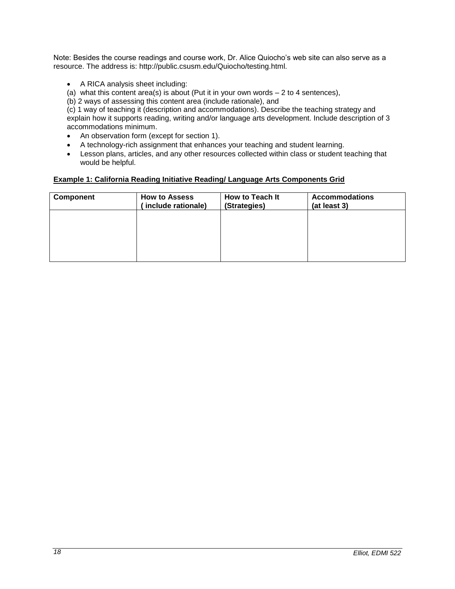Note: Besides the course readings and course work, Dr. Alice Quiocho's web site can also serve as a resource. The address is: http://public.csusm.edu/Quiocho/testing.html.

- A RICA analysis sheet including:
- (a) what this content area(s) is about (Put it in your own words  $-2$  to 4 sentences),
- (b) 2 ways of assessing this content area (include rationale), and

(c) 1 way of teaching it (description and accommodations). Describe the teaching strategy and explain how it supports reading, writing and/or language arts development. Include description of 3 accommodations minimum.

- An observation form (except for section 1).
- A technology-rich assignment that enhances your teaching and student learning.
- Lesson plans, articles, and any other resources collected within class or student teaching that would be helpful.

# <span id="page-17-0"></span>**Example 1: California Reading Initiative Reading/ Language Arts Components Grid**

| Component | <b>How to Assess</b><br>include rationale) | How to Teach It<br>(Strategies) | <b>Accommodations</b><br>(at least 3) |
|-----------|--------------------------------------------|---------------------------------|---------------------------------------|
|           |                                            |                                 |                                       |
|           |                                            |                                 |                                       |
|           |                                            |                                 |                                       |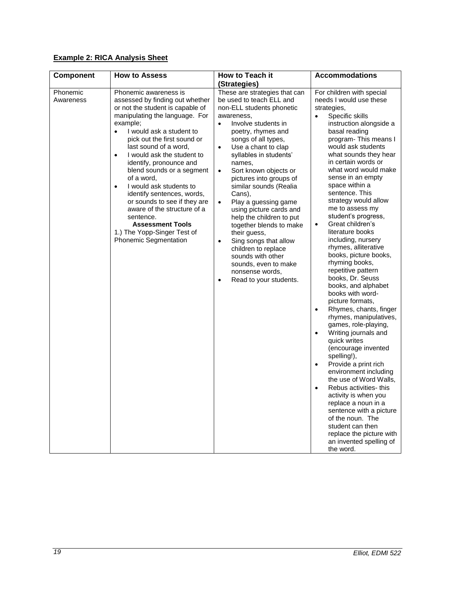# <span id="page-18-0"></span>**Example 2: RICA Analysis Sheet**

<span id="page-18-1"></span>

| Component             | <b>How to Assess</b>                                                                                                                                                                                                                                                                                                                                                                                                                                                                                                                                                                                     | How to Teach it                                                                                                                                                                                                                                                                                                                                                                                                                                                                                                                                                                                                                                                               | <b>Accommodations</b>                                                                                                                                                                                                                                                                                                                                                                                                                                                                                                                                                                                                                                                                                                                                                                                                                                                                                                                                                                                                                                                                                                                                           |
|-----------------------|----------------------------------------------------------------------------------------------------------------------------------------------------------------------------------------------------------------------------------------------------------------------------------------------------------------------------------------------------------------------------------------------------------------------------------------------------------------------------------------------------------------------------------------------------------------------------------------------------------|-------------------------------------------------------------------------------------------------------------------------------------------------------------------------------------------------------------------------------------------------------------------------------------------------------------------------------------------------------------------------------------------------------------------------------------------------------------------------------------------------------------------------------------------------------------------------------------------------------------------------------------------------------------------------------|-----------------------------------------------------------------------------------------------------------------------------------------------------------------------------------------------------------------------------------------------------------------------------------------------------------------------------------------------------------------------------------------------------------------------------------------------------------------------------------------------------------------------------------------------------------------------------------------------------------------------------------------------------------------------------------------------------------------------------------------------------------------------------------------------------------------------------------------------------------------------------------------------------------------------------------------------------------------------------------------------------------------------------------------------------------------------------------------------------------------------------------------------------------------|
|                       |                                                                                                                                                                                                                                                                                                                                                                                                                                                                                                                                                                                                          | (Strategies)                                                                                                                                                                                                                                                                                                                                                                                                                                                                                                                                                                                                                                                                  |                                                                                                                                                                                                                                                                                                                                                                                                                                                                                                                                                                                                                                                                                                                                                                                                                                                                                                                                                                                                                                                                                                                                                                 |
| Phonemic<br>Awareness | Phonemic awareness is<br>assessed by finding out whether<br>or not the student is capable of<br>manipulating the language. For<br>example:<br>I would ask a student to<br>$\bullet$<br>pick out the first sound or<br>last sound of a word,<br>I would ask the student to<br>$\bullet$<br>identify, pronounce and<br>blend sounds or a segment<br>of a word,<br>I would ask students to<br>$\bullet$<br>identify sentences, words,<br>or sounds to see if they are<br>aware of the structure of a<br>sentence.<br><b>Assessment Tools</b><br>1.) The Yopp-Singer Test of<br><b>Phonemic Segmentation</b> | These are strategies that can<br>be used to teach ELL and<br>non-ELL students phonetic<br>awareness,<br>Involve students in<br>$\bullet$<br>poetry, rhymes and<br>songs of all types,<br>Use a chant to clap<br>$\bullet$<br>syllables in students'<br>names,<br>Sort known objects or<br>$\bullet$<br>pictures into groups of<br>similar sounds (Realia<br>Cans),<br>Play a guessing game<br>$\bullet$<br>using picture cards and<br>help the children to put<br>together blends to make<br>their guess,<br>Sing songs that allow<br>$\bullet$<br>children to replace<br>sounds with other<br>sounds, even to make<br>nonsense words,<br>Read to your students.<br>$\bullet$ | For children with special<br>needs I would use these<br>strategies,<br>Specific skills<br>$\bullet$<br>instruction alongside a<br>basal reading<br>program-This means I<br>would ask students<br>what sounds they hear<br>in certain words or<br>what word would make<br>sense in an empty<br>space within a<br>sentence. This<br>strategy would allow<br>me to assess my<br>student's progress,<br>Great children's<br>$\bullet$<br>literature books<br>including, nursery<br>rhymes, alliterative<br>books, picture books,<br>rhyming books,<br>repetitive pattern<br>books, Dr. Seuss<br>books, and alphabet<br>books with word-<br>picture formats,<br>Rhymes, chants, finger<br>$\bullet$<br>rhymes, manipulatives,<br>games, role-playing,<br>Writing journals and<br>$\bullet$<br>quick writes<br>(encourage invented<br>spelling!),<br>Provide a print rich<br>$\bullet$<br>environment including<br>the use of Word Walls,<br>Rebus activities-this<br>$\bullet$<br>activity is when you<br>replace a noun in a<br>sentence with a picture<br>of the noun. The<br>student can then<br>replace the picture with<br>an invented spelling of<br>the word. |